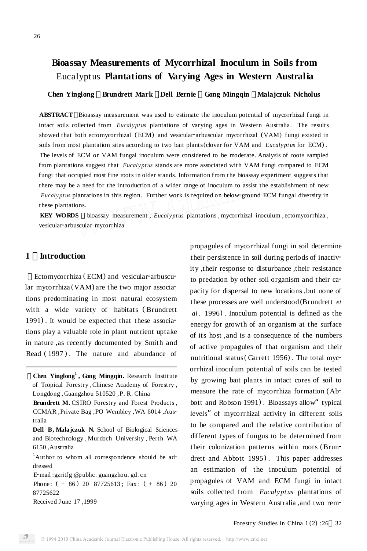# **Bioassay Measurements of Mycorrhizal Inoculum in Soils from** Eucalyptus **Plantations of Varying Ages in Western Australia**

**Chen Yinglong Brundrett Mark Dell Bernie Gong Mingqin Malajczuk Nicholus**

**ABSTRACT** Bioassay measurement was used to estimate the inoculum potential of mycorrhizal fungi in intact soils collected from *Eucalyptus* plantations of varying ages in Western Australia. The results showed that both ectomycorrhizal (ECM) and vesicular-arbuscular mycorrhizal (VAM) fungi existed in soils from most plantation sites according to two bait plants(clover for VAM and *Eucalyptus* for ECM). The levels of ECM or VAM fungal inoculum were considered to be moderate. Analysis of roots sampled from plantations suggest that *Eucalypt us* stands are more associated with VAM fungi compared to ECM fungi that occupied most fine roots in older stands. Information from the bioassay experiment suggests that there may be a need for the introduction of a wider range of inoculum to assist the establishment of new *Eucalyptus* plantations in this region. Further work is required on below-ground ECM fungal diversity in these plantations.

**KEY** WORDS bioassay measurement, *Eucalyptus* plantations, mycorrhizal inoculum, ectomycorrhiza, vesicular-arbuscular mycorrhiza

### **1 Introduction**

Ectomycorrhiza (ECM) and vesicular-arbuscular mycorrhiza  $(VAM)$  are the two major associations predominating in most natural ecosystem with a wide variety of habitats ( Brundrett 1991). It would be expected that these associations play a valuable role in plant nutrient uptake in nature ,as recently documented by Smith and Read (1997). The nature and abundance of

Received J une 17 ,1999

propagules of mycorrhizal fungi in soil determine their persistence in soil during periods of inactivity ,their response to disturbance ,their resistance to predation by other soil organism and their capacity for dispersal to new locations ,but none of these processes are well understood (Brundrett *et al* . 1996) . Inoculum potential is defined as the energy for growth of an organism at the surface of its host ,and is a consequence of the numbers of active propagules of that organism and their nutritional status (Garrett 1956). The total mycorrhizal inoculum potential of soils can be tested by growing bait plants in intact cores of soil to measure the rate of mycorrhiza formation (Abbott and Robson 1991). Bioassays allow" typical levels" of mycorrhizal activity in different soils to be compared and the relative contribution of different types of fungus to be determined from their colonization patterns within roots (Brundrett and Abbott 1995) . This paper addresses an estimation of the inoculum potential of propagules of VAM and ECM fungi in intact soils collected from *Eucalyptus* plantations of varying ages in Western Australia ,and two rem-

**Chen Yinglong** 1 **, Gong Mingqin.** Research Institute of Tropical Forestry ,Chinese Academy of Forestry , Longdong , Guangzhou 510520 ,P. R. China

**Brundrett M.** CSIRO Forestry and Forest Products , CCMAR ,Private Bag ,PO Wembley ,WA 6014 ,Australia

**Dell B, Malajczuk N.** School of Biological Sciences and Biotechnology , Murdoch University , Perth WA 6150 ,Australia

 $1$ Author to whom all correspondence should be addressed

E-mail : gzritfg @public. guangzhou. gd. cn

Phone:  $( + 86)$  20 87725613; Fax:  $( + 86)$  20 87725622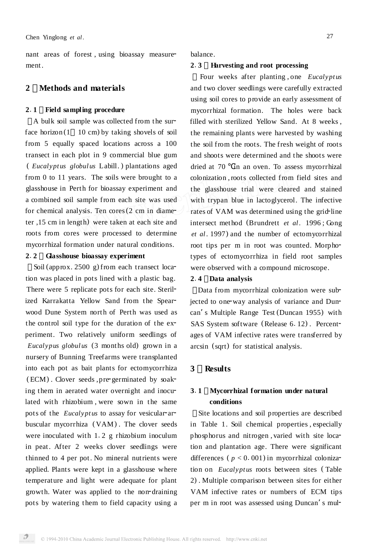nant areas of forest, using bioassay measurement.

### **2 Methods and materials**

#### **<sup>2</sup>**1**<sup>1</sup> Field sampling procedure**

A bulk soil sample was collected from the surface horizon  $(1 \t10 \text{ cm})$  by taking shovels of soil from 5 equally spaced locations across a 100 transect in each plot in 9 commercial blue gum ( *Eucalypt us globul us* Labill. ) plantations aged from 0 to 11 years. The soils were brought to a glasshouse in Perth for bioassay experiment and a combined soil sample from each site was used for chemical analysis. Ten cores $(2 \text{ cm in } 1)$ ter ,15 cm in length) were taken at each site and roots from cores were processed to determine mycorrhizal formation under natural conditions.

#### **<sup>2</sup>**1**<sup>2</sup> Glasshouse bioassay experiment**

Soil (approx.  $2500 \text{ g}$ ) from each transect location was placed in pots lined with a plastic bag. There were 5 replicate pots for each site. Sterilized Karrakatta Yellow Sand from the Spearwood Dune System north of Perth was used as the control soil type for the duration of the experiment. Two relatively uniform seedlings of *Eucalypus globul us* (3 months old) grown in a nursery of Bunning Treefarms were transplanted into each pot as bait plants for ectomycorrhiza (ECM). Clover seeds, pre-germinated by soaking them in aerated water overnight and inoculated with rhizobium , were sown in the same pots of the *Eucalyptus* to assay for vesicular-arbuscular mycorrhiza ( VAM) . The clover seeds were inoculated with  $1.2$  g rhizobium inoculum in peat. After 2 weeks clover seedlings were thinned to 4 per pot. No mineral nutrients were applied. Plants were kept in a glasshouse where temperature and light were adequate for plant growth. Water was applied to the non-draining pots by watering them to field capacity using a

balance.

#### **<sup>2</sup>**1**<sup>3</sup> Harvesting and root processing**

Four weeks after planting , one *Eucalypt us* and two clover seedlings were carefully extracted using soil cores to provide an early assessment of mycorrhizal formation. The holes were back filled with sterilized Yellow Sand. At 8 weeks , the remaining plants were harvested by washing the soil from the roots. The fresh weight of roots and shoots were determined and the shoots were dried at 70 in an oven. To assess mycorrhizal colonization ,roots collected from field sites and the glasshouse trial were cleared and stained with trypan blue in lactoglycerol. The infective rates of VAM was determined using the grid-line intersect method (Brundrett *et al.* 1996; Gong *et al*. 1997) and the number of ectomycorrhizal root tips per m in root was counted. Morphotypes of ectomycorrhiza in field root samples were observed with a compound microscope.

## **<sup>2</sup>**1**<sup>4</sup> Data analysis**

Data from mycorrhizal colonization were subjected to one-way analysis of variance and Duncan's Multiple Range Test (Duncan 1955) with SAS System software (Release 6.12). Percentages of VAM infective rates were transferred by arcsin (sqrt) for statistical analysis.

## **3 Results**

## **<sup>3</sup>**1**<sup>1</sup> Mycorrhizal formation under natural conditions**

Site locations and soil properties are described in Table 1. Soil chemical properties , especially phosphorus and nitrogen, varied with site location and plantation age. There were significant differences ( $p < 0.001$ ) in mycorrhizal colonization on *Eucalyptus* roots between sites (Table 2) . Multiple comparison between sites for either VAM infective rates or numbers of ECM tips per m in root was assessed using Duncan's mul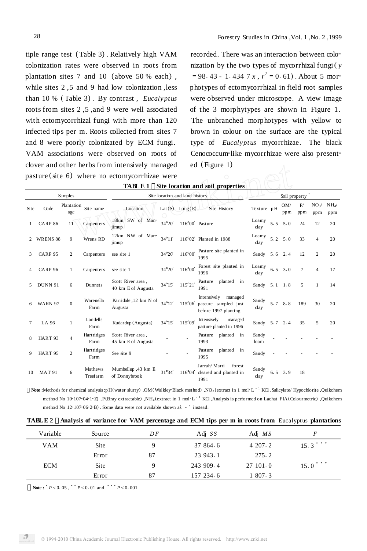tiple range test ( Table 3) . Relatively high VAM colonization rates were observed in roots from plantation sites 7 and 10 ( above 50 % each) , while sites 2,5 and 9 had low colonization, less than 10 % ( Table 3) . By contrast , *Eucalypt us* roots from sites 2 ,5 ,and 9 were well associated with ectomycorrhizal fungi with more than 120 infected tips per m. Roots collected from sites 7 and 8 were poorly colonizated by ECM fungi. VAM associations were observed on roots of clover and other herbs from intensively managed pasture (site 6) where no ectomycorrhizae were

recorded. There was an interaction between colonization by the two types of mycorrhizal fungi( *y*  $= 98.43 - 1.434.7 x$ ,  $r^2 = 0.61$ ). About 5 morphotypes of ectomycorrhizal in field root samples were observed under microscope. A view image of the 3 morphytypes are shown in Figure 1. The unbranched morphotypes with yellow to brown in colour on the surface are the typical type of *Eucalyptus* mycorrhizae. The black Cenococcum-like mycorrhizae were also presented (Figure 1)

| TABLE 1 |  |  |  | Site location and soil properties |  |
|---------|--|--|--|-----------------------------------|--|
|---------|--|--|--|-----------------------------------|--|

| Samples |                     |                   | Site location and land history | Soil property *                         |                |                    |                                                                        |               |     |            |           |                          |                        |
|---------|---------------------|-------------------|--------------------------------|-----------------------------------------|----------------|--------------------|------------------------------------------------------------------------|---------------|-----|------------|-----------|--------------------------|------------------------|
| Site    | Code                | Plantation<br>age | Site name                      | Location                                |                | $Lat(S)$ $Long(E)$ | Site History                                                           | Texture pH    |     | OM/<br>ppm | P/<br>ppm | NO <sub>3</sub> /<br>ppm | NH <sub>4</sub><br>ppm |
|         | CARP <sub>86</sub>  | 11                | Carpenters                     | 18km SW of Man-<br>jimup                | $34^{\circ}20$ | 116°00 Pasture     |                                                                        | Loamy<br>clay | 5.5 | 5.0        | 24        | 12                       | 20                     |
|         | WRENS <sub>88</sub> | 9                 | Wrens RD                       | 12km NW of Man-<br>jimup                | $34^{\circ}11$ | $116^{\circ}02$    | Planted in 1988                                                        | Loamy<br>clay | 5.2 | 5.0        | 33        | 4                        | 20                     |
| 3       | CARP <sub>95</sub>  | $\overline{c}$    | Carpenters                     | see site 1                              | 34°20          | 116°00             | Pasture site planted in<br>1995                                        | Sandy         | 5.6 | 2.4        | 12        | $\overline{2}$           | 20                     |
|         | CARP <sub>96</sub>  | 1                 | Carpenters                     | see site 1                              | $34^{\circ}20$ | 116°00             | Forest site planted in<br>1996                                         | Loamy<br>clay | 6.5 | 3.0        | $\tau$    | 4                        | 17                     |
|         | <b>DUNN 91</b>      | 6                 | <b>Dunnets</b>                 | Scott River area,<br>40 km E of Augusta | $34^{\circ}15$ | $115^{\circ}21$    | Pasture<br>planted in<br>1991                                          | Sandy         | 5.1 | 1.8        | 5         | 1                        | 14                     |
|         | <b>WARN 97</b>      | $\overline{0}$    | Warenella<br>Farm              | Karridale ,12 km N of<br>Augusta        | 34°12          | $115^{\circ}06$    | Intensively<br>managed<br>pasture sampled just<br>before 1997 planting | Sandy<br>clay | 5.7 | 8.8        | 189       | 30                       | 20                     |
|         | LA 96               | 1                 | Landells<br>Farm               | Kudardup (Augusta)                      | $34^{\circ}15$ | $115^{\circ}09$    | Intensively<br>managed<br>pasture planted in 1996                      | Sandy         | 5.7 | 2.4        | 35        | 5                        | 20                     |
| 8       | HART <sub>93</sub>  | $\overline{4}$    | Hartridges<br>Farm             | Scott River area,<br>45 km E of Augusta |                |                    | planted in<br>Pasture<br>1993                                          | Sandy<br>loam |     |            |           |                          |                        |
|         | HART <sub>95</sub>  | 2                 | Hartridges<br>Farm             | See site 9                              |                |                    | planted in<br>Pasture<br>1995                                          | Sandy         |     |            |           |                          |                        |
| 10      | <b>MAT 91</b>       | 6                 | Mathews<br>Treefarm            | Mumbellup ,43 km E<br>of Donnybrook     | 31°34          | $116^{\circ}04$    | Jarrah/Marri<br>forest<br>cleared and planted in<br>1991               | Sandy<br>clay | 6.5 | 3.9        | 18        |                          |                        |

Note :Methods for chemical analysis:p H(water slurry) ,OM(Walkley-Black method) ,NO<sub>3</sub> (extract in 1 mol·L<sup>-1</sup> KCl, Salicylate/ Hypochlorite ,Quikchem method No 10·107-04-1-Z), P(Bray extractable), NH<sub>4</sub> (extract in 1 mol·L<sup>-1</sup> KCl, Analysis is performed on Lachat FIA (Colourmetric), Quikchem method No 12-107-06-2-B). Some data were not available shown as - 'instead.

|  |  |  |  | TABLE 2 Analysis of variance for VAM percentage and ECM tips per m in roots from Eucalyptus plantations |  |  |  |  |  |  |
|--|--|--|--|---------------------------------------------------------------------------------------------------------|--|--|--|--|--|--|
|--|--|--|--|---------------------------------------------------------------------------------------------------------|--|--|--|--|--|--|

| 4 207.2<br>VAM<br><b>Site</b><br>9<br>37 864.6<br>275.2<br>87<br>23 943.1<br>Error |              |
|------------------------------------------------------------------------------------|--------------|
|                                                                                    | $15.3$ ***   |
|                                                                                    |              |
| 9<br>27 101.0<br><b>ECM</b><br>243 909.4<br><b>Site</b>                            | $15.0$ * * * |
| 1 807.3<br>87<br>157 234.6<br>Error                                                |              |

**Note**  $\mathbf{r} \cdot P < 0.05$ ,  $\mathbf{r} \cdot P < 0.01$  and  $\mathbf{r} \cdot P < 0.001$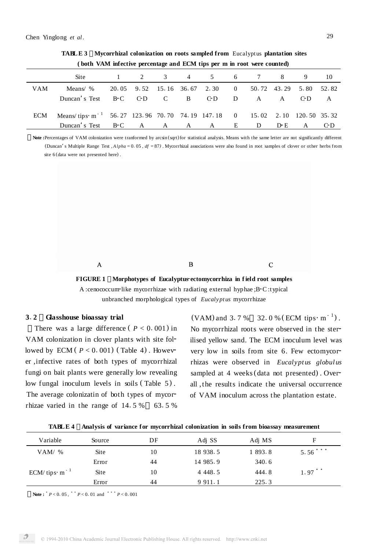| both VAM infective percentage and ECM tips per m in root were counted) |                                                                                           |  |  |  |  |                                                      |   |                |     |                |     |
|------------------------------------------------------------------------|-------------------------------------------------------------------------------------------|--|--|--|--|------------------------------------------------------|---|----------------|-----|----------------|-----|
|                                                                        | Site                                                                                      |  |  |  |  | 1 2 3 4 5 6 7 8                                      |   |                |     | $\overline{9}$ | -10 |
| <b>VAM</b>                                                             | Means/ %                                                                                  |  |  |  |  | 20.05 9.52 15.16 36.67 2.30 0 50.72 43.29 5.80 52.82 |   |                |     |                |     |
|                                                                        | Duncan's Test B-C C-D C B                                                                 |  |  |  |  | C-D                                                  | D | $\mathbf A$    | A   | -C-D           | A   |
|                                                                        | ECM Means/tips. m <sup>-1</sup> 56.27 123.96 70.70 74.19 147.18 0 15.02 2.10 120.50 35.32 |  |  |  |  |                                                      |   |                |     |                |     |
|                                                                        | Duncan's Test B-C A A A A E                                                               |  |  |  |  |                                                      |   | $\overline{D}$ | D-E | $\mathbf{A}$   | C-D |
|                                                                        |                                                                                           |  |  |  |  |                                                      |   |                |     |                |     |

**TABLE 3 Mycorrhizal colonization on roots sampled from** Eucalyptus **plantation sites ( both VAM infective percentage and ECM tips per m in root were counted)**

Note :Percentages of VAM colonization were tranformed by arcsin (sqrt) for statistical analysis. Means with the same letter are not significantly different (Duncan's Multiple Range Test ,  $A1pha = 0.05$ ,  $df = 87$ ). Mycorrhizal associations were also found in root samples of clover or other herbs from site 6 (data were not presented here).



**FIGURE <sup>1</sup> Morphotypes of Eucalyptus**2**ectomycorrhiza in field root samples** A :cenococcum-like mycorrhizae with radiating external hyphae ;B-C:typical unbranched morphological types of *Eucalypt us* mycorrhizae

#### **<sup>3</sup>**1**<sup>2</sup> Glasshouse bioassay trial**

There was a large difference ( $P < 0.001$ ) in VAM colonization in clover plants with site followed by  $ECM$  ( $P < 0.001$ ) (Table 4). However ,infective rates of both types of mycorrhizal fungi on bait plants were generally low revealing low fungal inoculum levels in soils ( Table 5) . The average colonizatin of both types of mycor-<br>thizae varied in the range of  $14.5\%$  63.5% rhizae varied in the range of  $14.5\%$ 

(VAM) and  $3.7 %$  32.0% (ECM tips·m<sup>-1</sup>). No mycorrhizal roots were observed in the sterilised yellow sand. The ECM inoculum level was very low in soils from site 6. Few ectomycorrhizas were observed in *Eucalyptus* globulus sampled at 4 weeks (data not presented). Overall ,the results indicate the universal occurrence of VAM inoculum across the plantation estate.

| Variable                          | Source      | DF | Adj SS      | Adj MS  | F          |
|-----------------------------------|-------------|----|-------------|---------|------------|
| VAM/ $%$                          | <b>Site</b> | 10 | 18 938.5    | 1 893.8 | $5.56$ *** |
|                                   | Error       | 44 | 14 985.9    | 340.6   |            |
| ECM/ tips $\cdot$ m <sup>-1</sup> | Site        | 10 | 4 4 4 8 . 5 | 444.8   | $1.97$ **  |
|                                   | Error       | 44 | 9 9 1 1 . 1 | 225.3   |            |

**TABLE 4 Analysis of variance for mycorrhizal colonization in soils from bioassay measurement**

**Note** :  $P < 0.05$ ,  $P < 0.01$  and  $P < 0.001$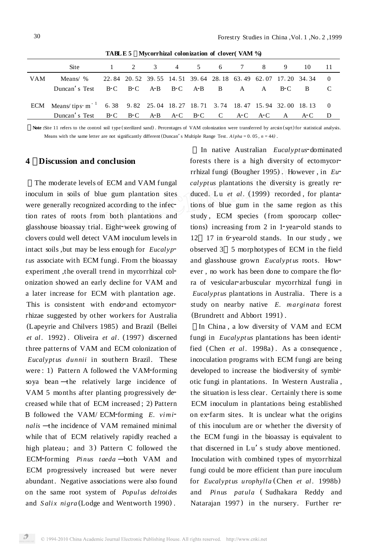|            | $\frac{1}{2}$                                                                              |  |  |  |  |  |  |  |  |  |                                                               |        |
|------------|--------------------------------------------------------------------------------------------|--|--|--|--|--|--|--|--|--|---------------------------------------------------------------|--------|
|            | <b>Site</b>                                                                                |  |  |  |  |  |  |  |  |  | 1 2 3 4 5 6 7 8 9 10 11                                       |        |
| <b>VAM</b> | Means/ $\%$                                                                                |  |  |  |  |  |  |  |  |  | 22.84 20.52 39.55 14.51 39.64 28.18 63.49 62.07 17.20 34.34 0 |        |
|            | Duncan's Test B-C B-C A-B B-C A-B B A A B-C B                                              |  |  |  |  |  |  |  |  |  |                                                               |        |
|            | ECM Means/ tips m <sup>-1</sup> 6.38 9.82 25.04 18.27 18.71 3.74 18.47 15.94 32.00 18.13 0 |  |  |  |  |  |  |  |  |  |                                                               |        |
|            | Duncan's Test B-C B-C A-B A-C B-C C A-C A-C A A-C                                          |  |  |  |  |  |  |  |  |  |                                                               | $\Box$ |
|            |                                                                                            |  |  |  |  |  |  |  |  |  |                                                               |        |

**TABLE 5 Mycorrhizal colonization of clover( VAM %)**

Note :Site 11 refers to the control soil type (sterilized sand). Percentages of VAM colonization were transferred by arcsin (sqrt) for statistical analysis. Means with the same letter are not significantly different (Duncan's Multiple Range Test.  $A1pha = 0.05$ ,  $n = 44$ ).

#### **4 Discussion and conclusion**

The moderate levels of ECM and VAM fungal inoculum in soils of blue gum plantation sites were generally recognized according to the infection rates of roots from both plantations and glasshouse bioassay trial. Eight-week growing of clovers could well detect VAM inoculum levels in intact soils, but may be less enough for  $Eucalyp$ <sup>-</sup> *t us* associate with ECM fungi. From the bioassay experiment ,the overall trend in mycorrhizal colonization showed an early decline for VAM and a later increase for ECM with plantation age. This is consistent with endo-and ectomycorrhizae suggested by other workers for Australia (Lapeyrie and Chilvers 1985) and Brazil (Bellei *et al .* 1992) . Oliveira *et al .* (1997) discerned three patterns of VAM and ECM colonization of *Eucalypt us dunnii* in southern Brazil. These were : 1) Pattern A followed the VAM-forming soya bean —the relatively large incidence of VAM 5 months after planting progressively decreased while that of ECM increased ; 2) Pattern B followed the VAM/ ECM-forming *E. viminalis* —the incidence of VAM remained minimal while that of ECM relatively rapidly reached a high plateau; and 3) Pattern C followed the ECM2forming *Pi nus taeda* —both VAM and ECM progressively increased but were never abundant. Negative associations were also found on the same root system of *Popul us deltoi des* and *S ali x nigra* (Lodge and Wentworth 1990) .

In native Australian *Eucalyptus*-dominated forests there is a high diversity of ectomycorrrhizal fungi (Bougher 1995). However, in *Eucalyptus* plantations the diversity is greatly reduced. Lu et al. (1999) recorded, for plantations of blue gum in the same region as this study, ECM species (from sporocarp collections) increasing from 2 in 1-year-old stands to<br>12 17 in 6-year-old stands. In our study, we 17 in 6-year-old stands. In our study, we observed 3 5 morphotypes of ECM in the field and glasshouse grown *Eucalyptus* roots. However, no work has been done to compare the flora of vesicular-arbuscular mycorrhizal fungi in *Eucalypt us* plantations in Australia. There is a study on nearby native *E. marginata* forest (Brundrett and Abbort 1991) .

In China , a low diversity of VAM and ECM fungi in *Eucalyptus* plantations has been identified (Chen *et al .* 1998a) . As a consequence , incoculation programs with ECM fungi are being developed to increase the biodiversity of symbiotic fungi in plantations. In Western Australia , the situation is less clear. Certainly there is some ECM inoculum in plantations being established on ex-farm sites. It is unclear what the origins of this inoculum are or whether the diversity of the ECM fungi in the bioassay is equivalent to that discerned in Lu's study above mentioned. Inoculation with combined types of mycorrhizal fungi could be more efficient than pure inoculum for *Eucalypt us urophylla* (Chen *et al .* 1998b) and *Pi nus pat ula* ( Sudhakara Reddy and Natarajan 1997) in the nursery. Further re-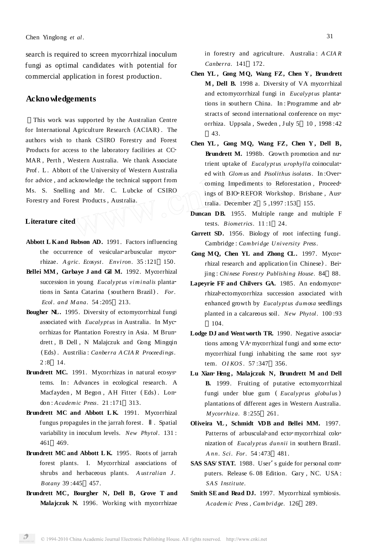search is required to screen mycorrhizal inoculum fungi as optimal candidates with potential for commercial application in forest production.

#### **Acknowledgements**

This work was supported by the Australian Centre for International Agriculture Research (ACIAR) . The authors wish to thank CSIRO Forestry and Forest Products for access to the laboratory facilities at CC-MAR , Perth , Western Australia. We thank Associate Prof. L. Abbott of the University of Western Australia for advice , and acknowledge the technical support from Ms. S. Snelling and Mr. C. Lubcke of CSIRO Forestry and Forest Products , Australia.

### **Literature cited**

- **Abbott L Kand Robson AD.** 1991. Factors influencing the occurrence of vesicular-arbuscular mycorrhizae. *A gric. Ecosyst. Environ .* 35 :121 150.
- **Bellei MM , Garbaye J and Gil M.** 1992. Mycorrhizal succession in young *Eucalyptus viminalis* plantations in Santa Catarina (southern Brazil) . *For. Ecol . and M ana.* 54 :205 213.
- **Bougher NL.** 1995. Diversity of ectomycorrhizal fungi associated with *Eucalyptus* in Australia. In Mycorrhizas for Plantation Forestry in Asia. M Brundrett , B Dell , N Malajczuk and Gong Mingqin ( Eds) . Austrilia : *Canberra A CIA R Proceedi ngs.*  $2:8$  14.
- **Brundrett MC.** 1991. Mycorrhizas in natural ecosystems. In: Advances in ecological research. A Macfayden, M Begon, AH Fitter (Eds). London : *Academic Press.* 21 :171 313.
- **Brundrett MC and Abbott L K.** 1991. Mycorrhizal fungus propagules in the jarrah forest. . Spatial variability in inoculum levels. *New Phytol.* 131 : 461 469.
- **Brundrett MC and Abbott L K.** 1995. Roots of jarrah forest plants. I. Mycorrhizal associations of shrubs and herbaceous plants. A *ustralian J*. *Botany* 39 :445 457.
- **Brundrett MC, Bourgher N, Dell B, Grove T and Malajczuk N.** 1996. Working with mycorrhizae

in forestry and agriculture. Australia : *A CIA R Canberra.* 141 172.

- **Chen YL , Gong MQ, Wang FZ, Chen Y , Brundrett M , Dell B.** 1998 a. Diversity of VA mycorrhizal and ectomycorrhizal fungi in *Eucalyptus* plantations in southern China. In: Programme and abstracts of second international conference on mycorrhiza. Uppsala, Sweden, July 5 10, 1998:42 43.
- **Chen YL , Gong MQ, Wang FZ, Chen Y , Dell B, Brundrett M.** 1998b. Growth promotion and nutrient uptake of *Eucalyptus urophylla* coinoculated with *Glomus* and *Pisolithus isolates*. In:Overcoming Impediments to Reforestation, Proceedings of BIO-REFOR Workshop. Brisbane, Australia. December 2 5 ,1997 :153 155.
- **Duncan DB.** 1955. Multiple range and multiple F tests. *Biometrics.* 11 :1 24.
- Garrett SD. 1956. Biology of root infecting fungi. Cambridge : *Cambri dge U niversity Press.*
- **Gong MQ, Chen YL and Zhong CL.** 1997. Mycorrhizal research and application (in Chinese). Beijing : *Chi nese Forestry Publishi ng House.* 84 88.
- **Lapeyrie** FF and Chilvers GA. 1985. An endomycorrhizal-ectomycorrhiza succession associated with enhanced growth by *Eucalypt us dumosa* seedlings planted in a calcareous soil. *New Phytol.* 100 :93 104.
- Lodge DJ and Wentworth TR. 1990. Negative associations among VA-mycorrhizal fungi and some ectomycorrhizal fungi inhabiting the same root system. *OI KOS .* 57 :347 356.
- **Lu Xian**2**Heng , Malajczuk N, Brundrett <sup>M</sup> and Dell B.** 1999. Fruiting of putative ectomycorrhizal fungi under blue gum ( *Eucalyptus globulus*) plantations of different ages in Western Australia. *M ycorrhiz a.* 8 :255 261.
- **Oliveira VL , Schmidt VDB and Bellei MM.** 1997. Patterns of arbusculal-and ecto-mycorrhizal colonization of *Eucalypt us dunnii* in southern Brazil. *A nn . Sci. For.* 54 :473 481.
- **SAS SAS/ STAT.** 1988. User'<sup>s</sup> guide for personal com<sup>2</sup> puters. Release 6.08 Edition. Gary, NC. USA: *SA S Instit ute.*
- **Smith SEand Read DJ.** 1997. Mycorrhizal symbiosis. *Academic Press , Cambri dge.* 126 289.